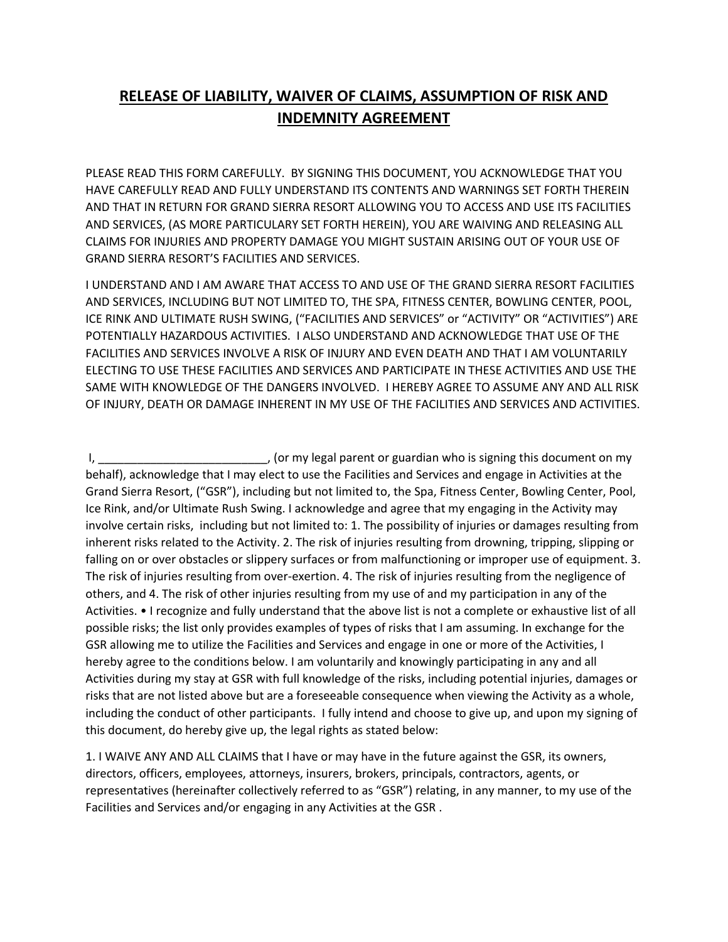## **RELEASE OF LIABILITY, WAIVER OF CLAIMS, ASSUMPTION OF RISK AND INDEMNITY AGREEMENT**

PLEASE READ THIS FORM CAREFULLY. BY SIGNING THIS DOCUMENT, YOU ACKNOWLEDGE THAT YOU HAVE CAREFULLY READ AND FULLY UNDERSTAND ITS CONTENTS AND WARNINGS SET FORTH THEREIN AND THAT IN RETURN FOR GRAND SIERRA RESORT ALLOWING YOU TO ACCESS AND USE ITS FACILITIES AND SERVICES, (AS MORE PARTICULARY SET FORTH HEREIN), YOU ARE WAIVING AND RELEASING ALL CLAIMS FOR INJURIES AND PROPERTY DAMAGE YOU MIGHT SUSTAIN ARISING OUT OF YOUR USE OF GRAND SIERRA RESORT'S FACILITIES AND SERVICES.

I UNDERSTAND AND I AM AWARE THAT ACCESS TO AND USE OF THE GRAND SIERRA RESORT FACILITIES AND SERVICES, INCLUDING BUT NOT LIMITED TO, THE SPA, FITNESS CENTER, BOWLING CENTER, POOL, ICE RINK AND ULTIMATE RUSH SWING, ("FACILITIES AND SERVICES" or "ACTIVITY" OR "ACTIVITIES") ARE POTENTIALLY HAZARDOUS ACTIVITIES. I ALSO UNDERSTAND AND ACKNOWLEDGE THAT USE OF THE FACILITIES AND SERVICES INVOLVE A RISK OF INJURY AND EVEN DEATH AND THAT I AM VOLUNTARILY ELECTING TO USE THESE FACILITIES AND SERVICES AND PARTICIPATE IN THESE ACTIVITIES AND USE THE SAME WITH KNOWLEDGE OF THE DANGERS INVOLVED. I HEREBY AGREE TO ASSUME ANY AND ALL RISK OF INJURY, DEATH OR DAMAGE INHERENT IN MY USE OF THE FACILITIES AND SERVICES AND ACTIVITIES.

I, \_\_\_\_\_\_\_\_\_\_\_\_\_\_\_\_\_\_\_\_\_\_\_\_\_\_\_\_\_\_\_\_, (or my legal parent or guardian who is signing this document on my behalf), acknowledge that I may elect to use the Facilities and Services and engage in Activities at the Grand Sierra Resort, ("GSR"), including but not limited to, the Spa, Fitness Center, Bowling Center, Pool, Ice Rink, and/or Ultimate Rush Swing. I acknowledge and agree that my engaging in the Activity may involve certain risks, including but not limited to: 1. The possibility of injuries or damages resulting from inherent risks related to the Activity. 2. The risk of injuries resulting from drowning, tripping, slipping or falling on or over obstacles or slippery surfaces or from malfunctioning or improper use of equipment. 3. The risk of injuries resulting from over-exertion. 4. The risk of injuries resulting from the negligence of others, and 4. The risk of other injuries resulting from my use of and my participation in any of the Activities. • I recognize and fully understand that the above list is not a complete or exhaustive list of all possible risks; the list only provides examples of types of risks that I am assuming. In exchange for the GSR allowing me to utilize the Facilities and Services and engage in one or more of the Activities, I hereby agree to the conditions below. I am voluntarily and knowingly participating in any and all Activities during my stay at GSR with full knowledge of the risks, including potential injuries, damages or risks that are not listed above but are a foreseeable consequence when viewing the Activity as a whole, including the conduct of other participants. I fully intend and choose to give up, and upon my signing of this document, do hereby give up, the legal rights as stated below:

1. I WAIVE ANY AND ALL CLAIMS that I have or may have in the future against the GSR, its owners, directors, officers, employees, attorneys, insurers, brokers, principals, contractors, agents, or representatives (hereinafter collectively referred to as "GSR") relating, in any manner, to my use of the Facilities and Services and/or engaging in any Activities at the GSR .